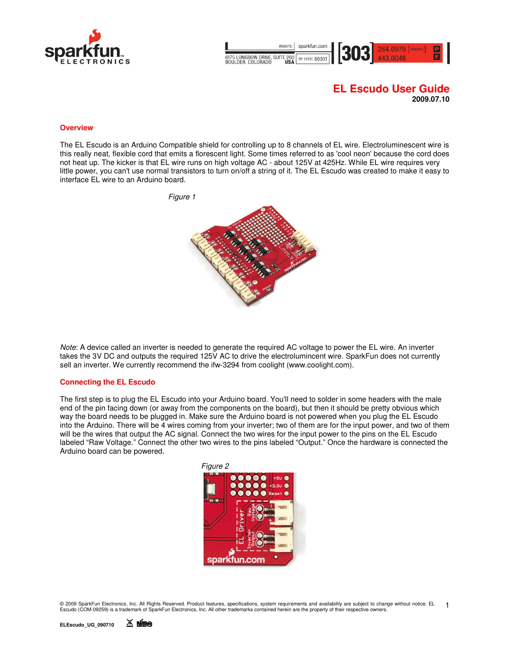



# **EL Escudo User Guide 2009.07.10**

#### **Overview**

The EL Escudo is an Arduino Compatible shield for controlling up to 8 channels of EL wire. Electroluminescent wire is this really neat, flexible cord that emits a florescent light. Some times referred to as 'cool neon' because the cord does not heat up. The kicker is that EL wire runs on high voltage AC - about 125V at 425Hz. While EL wire requires very little power, you can't use normal transistors to turn on/off a string of it. The EL Escudo was created to make it easy to interface EL wire to an Arduino board.



Note: A device called an inverter is needed to generate the required AC voltage to power the EL wire. An inverter takes the 3V DC and outputs the required 125V AC to drive the electrolumincent wire. SparkFun does not currently sell an inverter. We currently recommend the ifw-3294 from coolight (www.coolight.com).

#### **Connecting the EL Escudo**

The first step is to plug the EL Escudo into your Arduino board. You'll need to solder in some headers with the male end of the pin facing down (or away from the components on the board), but then it should be pretty obvious which way the board needs to be plugged in. Make sure the Arduino board is not powered when you plug the EL Escudo into the Arduino. There will be 4 wires coming from your inverter; two of them are for the input power, and two of them will be the wires that output the AC signal. Connect the two wires for the input power to the pins on the EL Escudo labeled "Raw Voltage." Connect the other two wires to the pins labeled "Output." Once the hardware is connected the Arduino board can be powered.



© 2009 SparkFun Electronics, Inc. All Rights Reserved. Product features, specifications, system requirements and availability are subject to change without notice. EL<br>Escudo (COM-09259) is a trademark of SparkFun Electroni 1

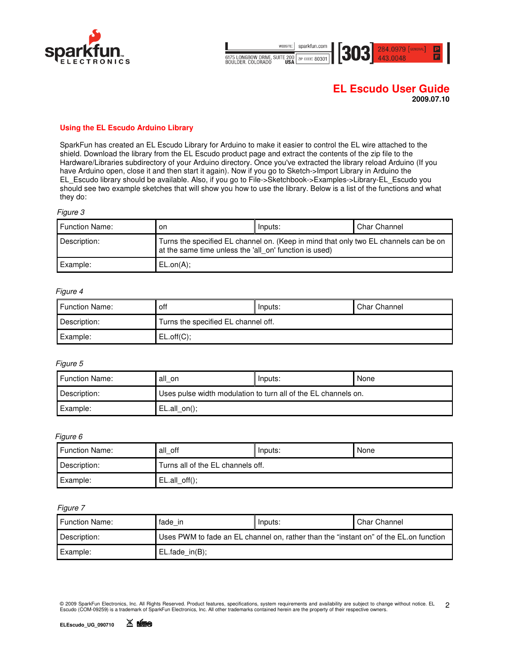



# **EL Escudo User Guide**

**2009.07.10** 

## **Using the EL Escudo Arduino Library**

SparkFun has created an EL Escudo Library for Arduino to make it easier to control the EL wire attached to the shield. Download the library from the EL Escudo product page and extract the contents of the zip file to the Hardware/Libraries subdirectory of your Arduino directory. Once you've extracted the library reload Arduino (If you have Arduino open, close it and then start it again). Now if you go to Sketch->Import Library in Arduino the EL\_Escudo library should be available. Also, if you go to File->Sketchbook->Examples->Library-EL\_Escudo you should see two example sketches that will show you how to use the library. Below is a list of the functions and what they do:

#### Figure 3

| <b>Function Name:</b> | on                                                                                                                                             | Inputs: | <b>Char Channel</b> |
|-----------------------|------------------------------------------------------------------------------------------------------------------------------------------------|---------|---------------------|
| Description:          | Turns the specified EL channel on. (Keep in mind that only two EL channels can be on<br>at the same time unless the 'all on' function is used) |         |                     |
| Example:              | ELon(A);                                                                                                                                       |         |                     |

#### Figure 4

| I Function Name: | off                                 | Inputs: | <b>Char Channel</b> |
|------------------|-------------------------------------|---------|---------------------|
| Description:     | Turns the specified EL channel off. |         |                     |
| Example:         | EL.off(C);                          |         |                     |

#### Figure 5

| <b>Function Name:</b> | all on                                                         | Inputs: | None |
|-----------------------|----------------------------------------------------------------|---------|------|
| Description:          | Uses pulse width modulation to turn all of the EL channels on. |         |      |
| Example:              | EL.alI on();                                                   |         |      |

#### Figure 6

| <b>Function Name:</b> | all off                           | Inputs: | None |
|-----------------------|-----------------------------------|---------|------|
| Description:          | Turns all of the EL channels off. |         |      |
| Example:              | $EL.alL$ off();                   |         |      |

#### Figure 7

| <b>Function Name:</b> | fade in                                                                               | Inputs: | <b>Char Channel</b> |
|-----------------------|---------------------------------------------------------------------------------------|---------|---------------------|
| Description:          | Uses PWM to fade an EL channel on, rather than the "instant on" of the EL.on function |         |                     |
| Example:              | $EL$ fade in $(B)$ ;                                                                  |         |                     |

© 2009 SparkFun Electronics, Inc. All Rights Reserved. Product features, specifications, system requirements and availability are subject to change without notice. EL<br>Escudo (COM-09259) is a trademark of SparkFun Electroni 2